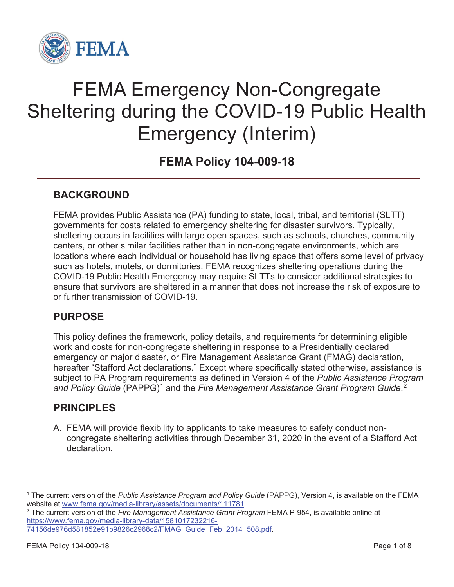

# FEMA Emergency Non-Congregate Sheltering during the COVID-19 Public Health Emergency (Interim)

**FEMA Policy 104-009-18**

### **BACKGROUND**

FEMA provides Public Assistance (PA) funding to state, local, tribal, and territorial (SLTT) governments for costs related to emergency sheltering for disaster survivors. Typically, sheltering occurs in facilities with large open spaces, such as schools, churches, community centers, or other similar facilities rather than in non-congregate environments, which are locations where each individual or household has living space that offers some level of privacy such as hotels, motels, or dormitories. FEMA recognizes sheltering operations during the COVID-19 Public Health Emergency may require SLTTs to consider additional strategies to ensure that survivors are sheltered in a manner that does not increase the risk of exposure to or further transmission of COVID-19.

### **PURPOSE**

This policy defines the framework, policy details, and requirements for determining eligible work and costs for non-congregate sheltering in response to a Presidentially declared emergency or major disaster, or Fire Management Assistance Grant (FMAG) declaration, hereafter "Stafford Act declarations." Except where specifically stated otherwise, assistance is subject to PA Program requirements as defined in Version 4 of the *Public Assistance Program*  and Policy Guide (PAPPG)<sup>1</sup> and the Fire Management Assistance Grant Program Guide.<sup>2</sup>

#### **PRINCIPLES**

A. FEMA will provide flexibility to applicants to take measures to safely conduct noncongregate sheltering activities through December 31, 2020 in the event of a Stafford Act declaration.

https://www.fema.gov/media-library-data/1581017232216-

<sup>1</sup> The current version of the *Public Assistance Program and Policy Guide* (PAPPG), Version 4, is available on the FEMA website at www.fema.gov/media-library/assets/documents/111781.<br><sup>2</sup> The current version of the *Fire Management Assistance Grant Program* FEMA P-954, is available online at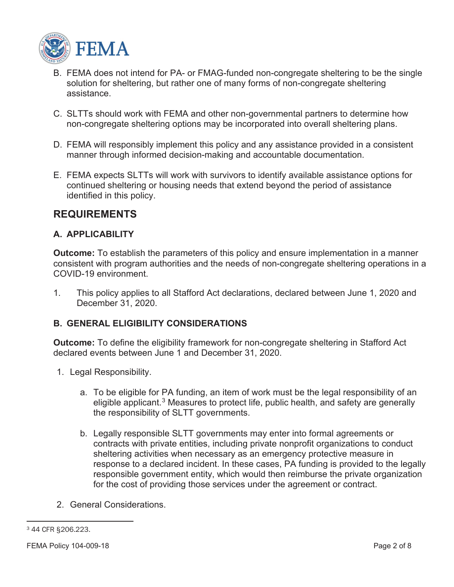

- B. FEMA does not intend for PA- or FMAG-funded non-congregate sheltering to be the single solution for sheltering, but rather one of many forms of non-congregate sheltering assistance.
- C. SLTTs should work with FEMA and other non-governmental partners to determine how non-congregate sheltering options may be incorporated into overall sheltering plans.
- D. FEMA will responsibly implement this policy and any assistance provided in a consistent manner through informed decision-making and accountable documentation.
- E. FEMA expects SLTTs will work with survivors to identify available assistance options for continued sheltering or housing needs that extend beyond the period of assistance identified in this policy.

#### **REQUIREMENTS**

#### **A. APPLICABILITY**

**Outcome:** To establish the parameters of this policy and ensure implementation in a manner consistent with program authorities and the needs of non-congregate sheltering operations in a COVID-19 environment.

1. This policy applies to all Stafford Act declarations, declared between June 1, 2020 and December 31, 2020.

#### **B. GENERAL ELIGIBILITY CONSIDERATIONS**

**Outcome:** To define the eligibility framework for non-congregate sheltering in Stafford Act declared events between June 1 and December 31, 2020.

- 1. Legal Responsibility.
	- a. To be eligible for PA funding, an item of work must be the legal responsibility of an eligible applicant.<sup>3</sup> Measures to protect life, public health, and safety are generally the responsibility of SLTT governments.
	- b. Legally responsible SLTT governments may enter into formal agreements or contracts with private entities, including private nonprofit organizations to conduct sheltering activities when necessary as an emergency protective measure in response to a declared incident. In these cases, PA funding is provided to the legally responsible government entity, which would then reimburse the private organization for the cost of providing those services under the agreement or contract.
- 2. General Considerations.

<sup>3 44</sup> CFR §206.223.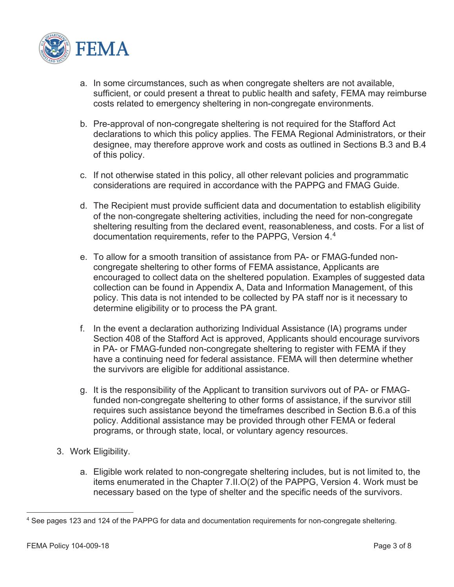

- a. In some circumstances, such as when congregate shelters are not available, sufficient, or could present a threat to public health and safety, FEMA may reimburse costs related to emergency sheltering in non-congregate environments.
- b. Pre-approval of non-congregate sheltering is not required for the Stafford Act declarations to which this policy applies. The FEMA Regional Administrators, or their designee, may therefore approve work and costs as outlined in Sections B.3 and B.4 of this policy.
- c. If not otherwise stated in this policy, all other relevant policies and programmatic considerations are required in accordance with the PAPPG and FMAG Guide.
- d. The Recipient must provide sufficient data and documentation to establish eligibility of the non-congregate sheltering activities, including the need for non-congregate sheltering resulting from the declared event, reasonableness, and costs. For a list of documentation requirements, refer to the PAPPG, Version 4.4
- e. To allow for a smooth transition of assistance from PA- or FMAG-funded noncongregate sheltering to other forms of FEMA assistance, Applicants are encouraged to collect data on the sheltered population. Examples of suggested data collection can be found in Appendix A, Data and Information Management, of this policy. This data is not intended to be collected by PA staff nor is it necessary to determine eligibility or to process the PA grant.
- f. In the event a declaration authorizing Individual Assistance (IA) programs under Section 408 of the Stafford Act is approved, Applicants should encourage survivors in PA- or FMAG-funded non-congregate sheltering to register with FEMA if they have a continuing need for federal assistance. FEMA will then determine whether the survivors are eligible for additional assistance.
- g. It is the responsibility of the Applicant to transition survivors out of PA- or FMAGfunded non-congregate sheltering to other forms of assistance, if the survivor still requires such assistance beyond the timeframes described in Section B.6.a of this policy. Additional assistance may be provided through other FEMA or federal programs, or through state, local, or voluntary agency resources.
- 3. Work Eligibility.
	- a. Eligible work related to non-congregate sheltering includes, but is not limited to, the items enumerated in the Chapter 7.II.O(2) of the PAPPG, Version 4. Work must be necessary based on the type of shelter and the specific needs of the survivors.

<sup>4</sup> See pages 123 and 124 of the PAPPG for data and documentation requirements for non-congregate sheltering.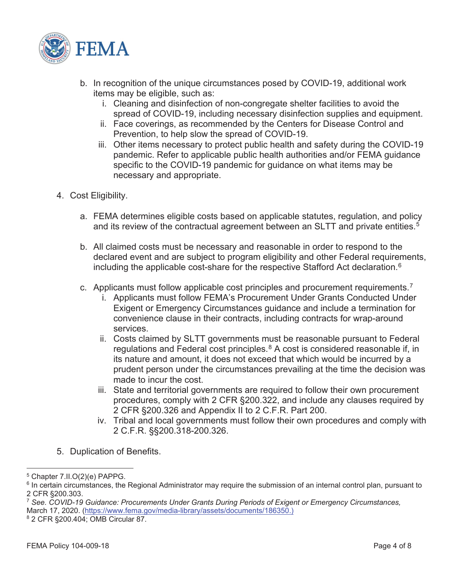

- b. In recognition of the unique circumstances posed by COVID-19, additional work items may be eligible, such as:
	- i. Cleaning and disinfection of non-congregate shelter facilities to avoid the spread of COVID-19, including necessary disinfection supplies and equipment.
	- ii. Face coverings, as recommended by the Centers for Disease Control and Prevention, to help slow the spread of COVID-19.
	- iii. Other items necessary to protect public health and safety during the COVID-19 pandemic. Refer to applicable public health authorities and/or FEMA guidance specific to the COVID-19 pandemic for guidance on what items may be necessary and appropriate.
- 4. Cost Eligibility.
	- a. FEMA determines eligible costs based on applicable statutes, regulation, and policy and its review of the contractual agreement between an SLTT and private entities.<sup>5</sup>
	- b. All claimed costs must be necessary and reasonable in order to respond to the declared event and are subject to program eligibility and other Federal requirements, including the applicable cost-share for the respective Stafford Act declaration.<sup>6</sup>
	- c. Applicants must follow applicable cost principles and procurement requirements.7
		- i. Applicants must follow FEMA's Procurement Under Grants Conducted Under Exigent or Emergency Circumstances guidance and include a termination for convenience clause in their contracts, including contracts for wrap-around services.
		- ii. Costs claimed by SLTT governments must be reasonable pursuant to Federal regulations and Federal cost principles. $8$  A cost is considered reasonable if, in its nature and amount, it does not exceed that which would be incurred by a prudent person under the circumstances prevailing at the time the decision was made to incur the cost.
		- iii. State and territorial governments are required to follow their own procurement procedures, comply with 2 CFR §200.322, and include any clauses required by 2 CFR §200.326 and Appendix II to 2 C.F.R. Part 200.
		- iv. Tribal and local governments must follow their own procedures and comply with 2 C.F.R. §§200.318-200.326.
- 5. Duplication of Benefits.

<sup>5</sup> Chapter 7.II.O(2)(e) PAPPG.

 $6$  In certain circumstances, the Regional Administrator may require the submission of an internal control plan, pursuant to 2 CFR §200.303.

<sup>7</sup> *See. COVID-19 Guidance: Procurements Under Grants During Periods of Exigent or Emergency Circumstances,*  March 17, 2020. (https://www.fema.gov/media-library/assets/documents/186350.)

<sup>8 2</sup> CFR §200.404; OMB Circular 87.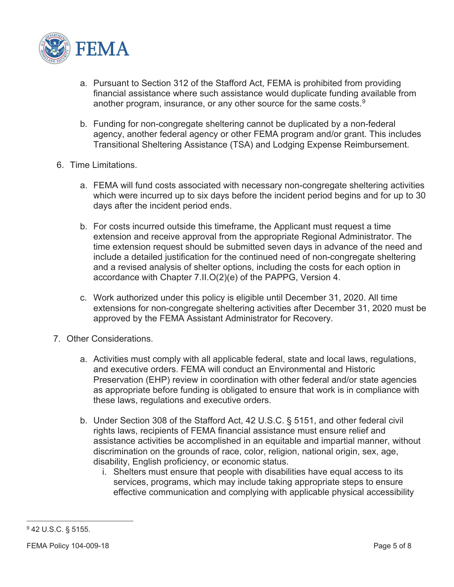

- a. Pursuant to Section 312 of the Stafford Act, FEMA is prohibited from providing financial assistance where such assistance would duplicate funding available from another program, insurance, or any other source for the same costs. $9$
- b. Funding for non-congregate sheltering cannot be duplicated by a non-federal agency, another federal agency or other FEMA program and/or grant. This includes Transitional Sheltering Assistance (TSA) and Lodging Expense Reimbursement.
- 6. Time Limitations.
	- a. FEMA will fund costs associated with necessary non-congregate sheltering activities which were incurred up to six days before the incident period begins and for up to 30 days after the incident period ends.
	- b. For costs incurred outside this timeframe, the Applicant must request a time extension and receive approval from the appropriate Regional Administrator. The time extension request should be submitted seven days in advance of the need and include a detailed justification for the continued need of non-congregate sheltering and a revised analysis of shelter options, including the costs for each option in accordance with Chapter 7.II.O(2)(e) of the PAPPG, Version 4.
	- c. Work authorized under this policy is eligible until December 31, 2020. All time extensions for non-congregate sheltering activities after December 31, 2020 must be approved by the FEMA Assistant Administrator for Recovery.
- 7. Other Considerations.
	- a. Activities must comply with all applicable federal, state and local laws, regulations, and executive orders. FEMA will conduct an Environmental and Historic Preservation (EHP) review in coordination with other federal and/or state agencies as appropriate before funding is obligated to ensure that work is in compliance with these laws, regulations and executive orders.
	- b. Under Section 308 of the Stafford Act, 42 U.S.C. § 5151, and other federal civil rights laws, recipients of FEMA financial assistance must ensure relief and assistance activities be accomplished in an equitable and impartial manner, without discrimination on the grounds of race, color, religion, national origin, sex, age, disability, English proficiency, or economic status.
		- i. Shelters must ensure that people with disabilities have equal access to its services, programs, which may include taking appropriate steps to ensure effective communication and complying with applicable physical accessibility

<sup>9 42</sup> U.S.C. § 5155.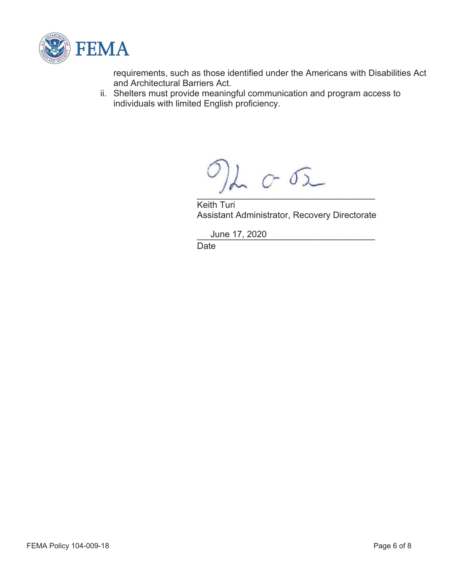

requirements, such as those identified under the Americans with Disabilities Act and Architectural Barriers Act.

ii. Shelters must provide meaningful communication and program access to individuals with limited English proficiency.

 $L_{C}$  or  $\sigma$  $\mathcal{L}$  and the set of the set of the set of the set of the set of the set of the set of the set of the set of the set of the set of the set of the set of the set of the set of the set of the set of the set of the set of

Keith Turi Assistant Administrator, Recovery Directorate

\_\_\_\_\_\_\_\_\_\_\_\_\_\_\_\_\_\_\_\_\_\_\_\_\_\_\_\_\_\_\_\_\_\_\_\_ June 17, 2020

Date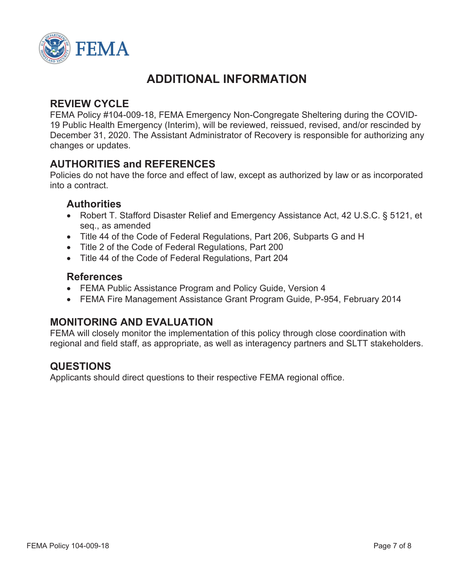

## **ADDITIONAL INFORMATION**

### **REVIEW CYCLE**

FEMA Policy #104-009-18, FEMA Emergency Non-Congregate Sheltering during the COVID-19 Public Health Emergency (Interim), will be reviewed, reissued, revised, and/or rescinded by December 31, 2020. The Assistant Administrator of Recovery is responsible for authorizing any changes or updates.

### **AUTHORITIES and REFERENCES**

Policies do not have the force and effect of law, except as authorized by law or as incorporated into a contract.

#### **Authorities**

- Robert T. Stafford Disaster Relief and Emergency Assistance Act, 42 U.S.C. § 5121, et seq., as amended
- Title 44 of the Code of Federal Regulations, Part 206, Subparts G and H
- Title 2 of the Code of Federal Regulations, Part 200
- Title 44 of the Code of Federal Regulations, Part 204

#### **References**

- FEMA Public Assistance Program and Policy Guide, Version 4
- FEMA Fire Management Assistance Grant Program Guide, P-954, February 2014

### **MONITORING AND EVALUATION**

FEMA will closely monitor the implementation of this policy through close coordination with regional and field staff, as appropriate, as well as interagency partners and SLTT stakeholders.

### **QUESTIONS**

Applicants should direct questions to their respective FEMA regional office.